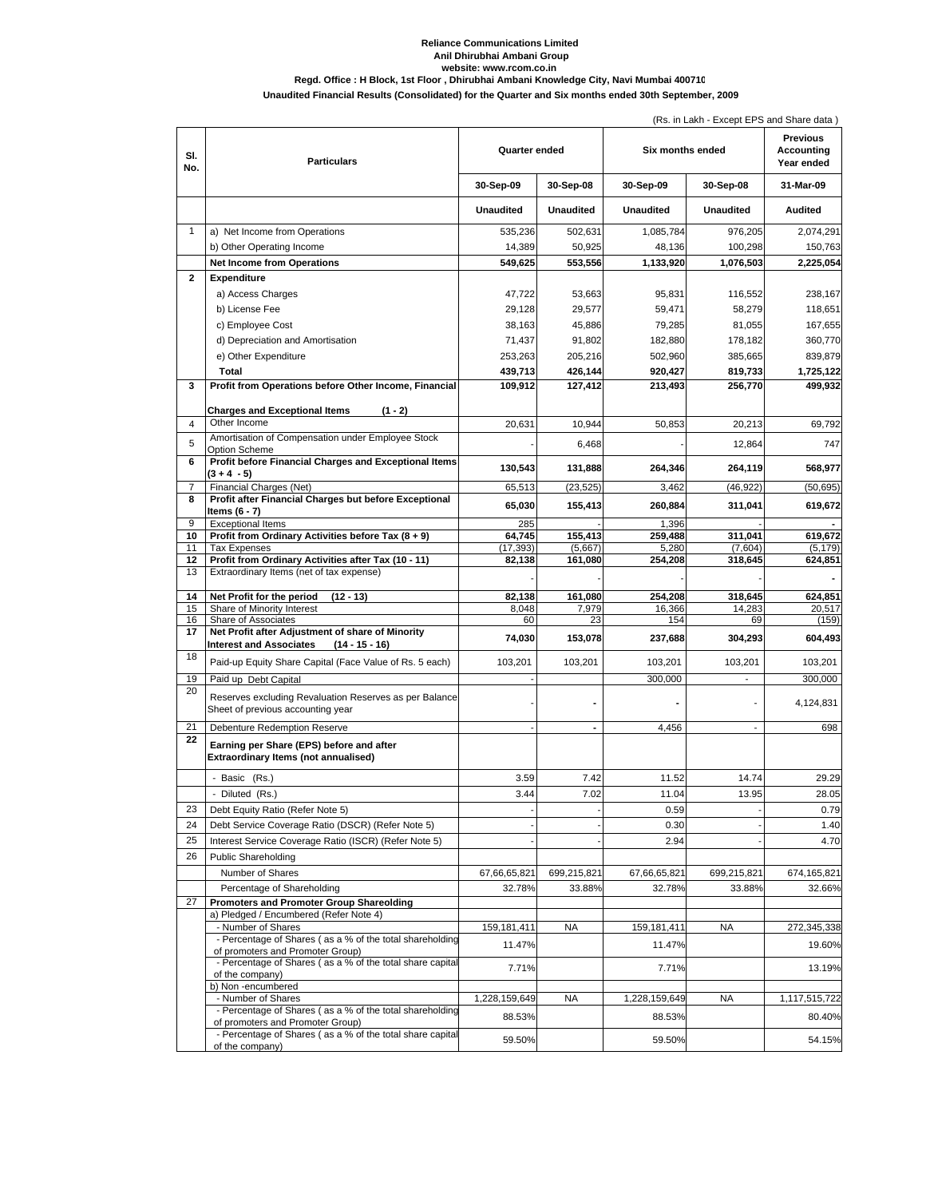## **Reliance Communications Limited Anil Dhirubhai Ambani Group**

## **website: www.rcom.co.in Regd. Office : H Block, 1st Floor , Dhirubhai Ambani Knowledge City, Navi Mumbai 400710**

**Unaudited Financial Results (Consolidated) for the Quarter and Six months ended 30th September, 2009**

|              |                                                                                                        |                      |                  |                  | (Rs. in Lakh - Except EPS and Share data) |                                             |
|--------------|--------------------------------------------------------------------------------------------------------|----------------------|------------------|------------------|-------------------------------------------|---------------------------------------------|
| SI.<br>No.   | <b>Particulars</b>                                                                                     | <b>Quarter ended</b> |                  | Six months ended |                                           | <b>Previous</b><br>Accounting<br>Year ended |
|              |                                                                                                        | 30-Sep-09            | 30-Sep-08        | 30-Sep-09        | 30-Sep-08                                 | 31-Mar-09                                   |
|              |                                                                                                        | <b>Unaudited</b>     | <b>Unaudited</b> | <b>Unaudited</b> | <b>Unaudited</b>                          | Audited                                     |
| $\mathbf{1}$ | a) Net Income from Operations                                                                          | 535,236              | 502,631          | 1,085,784        | 976,205                                   | 2,074,291                                   |
|              | b) Other Operating Income                                                                              | 14,389               | 50,925           | 48,136           | 100,298                                   | 150,763                                     |
|              | <b>Net Income from Operations</b>                                                                      | 549,625              | 553,556          | 1,133,920        | 1,076,503                                 | 2,225,054                                   |
| 2            | <b>Expenditure</b>                                                                                     |                      |                  |                  |                                           |                                             |
|              | a) Access Charges                                                                                      | 47,722               | 53,663           | 95,831           | 116,552                                   | 238,167                                     |
|              | b) License Fee                                                                                         | 29,128               | 29,577           | 59,471           | 58,279                                    | 118,651                                     |
|              | c) Employee Cost                                                                                       | 38,163               | 45,886           | 79,285           | 81,055                                    | 167,655                                     |
|              | d) Depreciation and Amortisation                                                                       | 71,437               | 91,802           | 182,880          | 178,182                                   | 360,770                                     |
|              | e) Other Expenditure                                                                                   | 253,263              | 205,216          | 502,960          | 385,665                                   | 839,879                                     |
|              | Total                                                                                                  | 439,713              | 426,144          | 920,427          | 819,733                                   | 1,725,122                                   |
| 3            | Profit from Operations before Other Income, Financial                                                  | 109,912              | 127,412          | 213,493          | 256,770                                   | 499,932                                     |
|              |                                                                                                        |                      |                  |                  |                                           |                                             |
|              | <b>Charges and Exceptional Items</b><br>$(1 - 2)$                                                      |                      |                  |                  |                                           |                                             |
| 4            | Other Income                                                                                           | 20,631               | 10,944           | 50,853           | 20.213                                    | 69.792                                      |
| 5            | Amortisation of Compensation under Employee Stock<br>Option Scheme                                     |                      | 6,468            |                  | 12,864                                    | 747                                         |
| 6            | Profit before Financial Charges and Exceptional Items<br>(3 + 4 - 5)                                   | 130,543              | 131,888          | 264,346          | 264,119                                   | 568,977                                     |
| 7            | Financial Charges (Net)                                                                                | 65,513               | (23, 525)        | 3,462            | (46, 922)                                 | (50, 695)                                   |
| 8            | Profit after Financial Charges but before Exceptional                                                  | 65,030               | 155,413          | 260,884          | 311,041                                   | 619,672                                     |
| 9            | Items (6 - 7)<br><b>Exceptional Items</b>                                                              | 285                  |                  | 1,396            |                                           |                                             |
| 10           | Profit from Ordinary Activities before Tax (8 + 9)                                                     | 64,745               | 155,413          | 259,488          | 311,041                                   | 619,672                                     |
| 11           | <b>Tax Expenses</b>                                                                                    | (17, 393)            | (5,667)          | 5,280            | (7,604)                                   | (5, 179)                                    |
| 12           | Profit from Ordinary Activities after Tax (10 - 11)                                                    | 82,138               | 161,080          | 254,208          | 318,645                                   | 624,851                                     |
| 13           | Extraordinary Items (net of tax expense)                                                               |                      |                  |                  |                                           |                                             |
| 14           | $(12 - 13)$<br>Net Profit for the period                                                               | 82,138               | 161,080          | 254,208          | 318,645                                   | 624,851                                     |
| 15           | Share of Minority Interest                                                                             | 8,048                | 7,979            | 16,366           | 14,283                                    | 20,517                                      |
| 16           | Share of Associates                                                                                    | 60                   | 23               | 154              | 69                                        | (159)                                       |
| 17           | Net Profit after Adjustment of share of Minority<br><b>Interest and Associates</b><br>$(14 - 15 - 16)$ | 74,030               | 153,078          | 237,688          | 304,293                                   | 604,493                                     |
| 18           | Paid-up Equity Share Capital (Face Value of Rs. 5 each)                                                | 103,201              | 103,201          | 103,201          | 103,201                                   | 103,201                                     |
| 19           | Paid up Debt Capital                                                                                   |                      |                  | 300,000          |                                           | 300,000                                     |
| 20           | Reserves excluding Revaluation Reserves as per Balance<br>Sheet of previous accounting year            |                      |                  |                  |                                           | 4,124,831                                   |
| 21           | Debenture Redemption Reserve                                                                           |                      |                  | 4,456            |                                           | 698                                         |
| 22           | Earning per Share (EPS) before and after                                                               |                      |                  |                  |                                           |                                             |
|              | Extraordinary Items (not annualised)                                                                   |                      |                  |                  |                                           |                                             |
|              |                                                                                                        |                      |                  |                  |                                           |                                             |
|              | - Basic (Rs.)                                                                                          | 3.59                 | 7.42             | 11.52            | 14.74                                     | 29.29                                       |
|              | Diluted (Rs.)                                                                                          | 3.44                 | 7.02             | 11.04            | 13.95                                     | 28.05                                       |
| 23           | Debt Equity Ratio (Refer Note 5)                                                                       |                      |                  | 0.59             |                                           | 0.79                                        |
| 24           | Debt Service Coverage Ratio (DSCR) (Refer Note 5)                                                      |                      |                  | 0.30             |                                           | 1.40                                        |
| 25           | Interest Service Coverage Ratio (ISCR) (Refer Note 5)                                                  |                      |                  | 2.94             |                                           | 4.70                                        |
| 26           | <b>Public Shareholding</b>                                                                             |                      |                  |                  |                                           |                                             |
|              | Number of Shares                                                                                       | 67,66,65,821         | 699,215,821      | 67,66,65,821     | 699,215,821                               | 674,165,821                                 |
|              | Percentage of Shareholding                                                                             | 32.78%               | 33.88%           | 32.78%           | 33.88%                                    | 32.66%                                      |
| 27           | <b>Promoters and Promoter Group Shareolding</b>                                                        |                      |                  |                  |                                           |                                             |
|              | a) Pledged / Encumbered (Refer Note 4)<br>- Number of Shares                                           | 159,181,411          | <b>NA</b>        | 159,181,411      | NA                                        | 272,345,338                                 |
|              | - Percentage of Shares (as a % of the total shareholding                                               |                      |                  |                  |                                           |                                             |
|              | of promoters and Promoter Group)                                                                       | 11.47%               |                  | 11.47%           |                                           | 19.60%                                      |
|              | - Percentage of Shares (as a % of the total share capital<br>of the company)                           | 7.71%                |                  | 7.71%            |                                           | 13.19%                                      |
|              | b) Non -encumbered                                                                                     |                      |                  |                  |                                           |                                             |
|              | - Number of Shares                                                                                     | 1,228,159,649        | <b>NA</b>        | 1,228,159,649    | <b>NA</b>                                 | 1,117,515,722                               |
|              | - Percentage of Shares (as a % of the total shareholding<br>of promoters and Promoter Group)           | 88.53%               |                  | 88.53%           |                                           | 80.40%                                      |
|              | - Percentage of Shares (as a % of the total share capital                                              |                      |                  |                  |                                           |                                             |
|              | of the company)                                                                                        | 59.50%               |                  | 59.50%           |                                           | 54.15%                                      |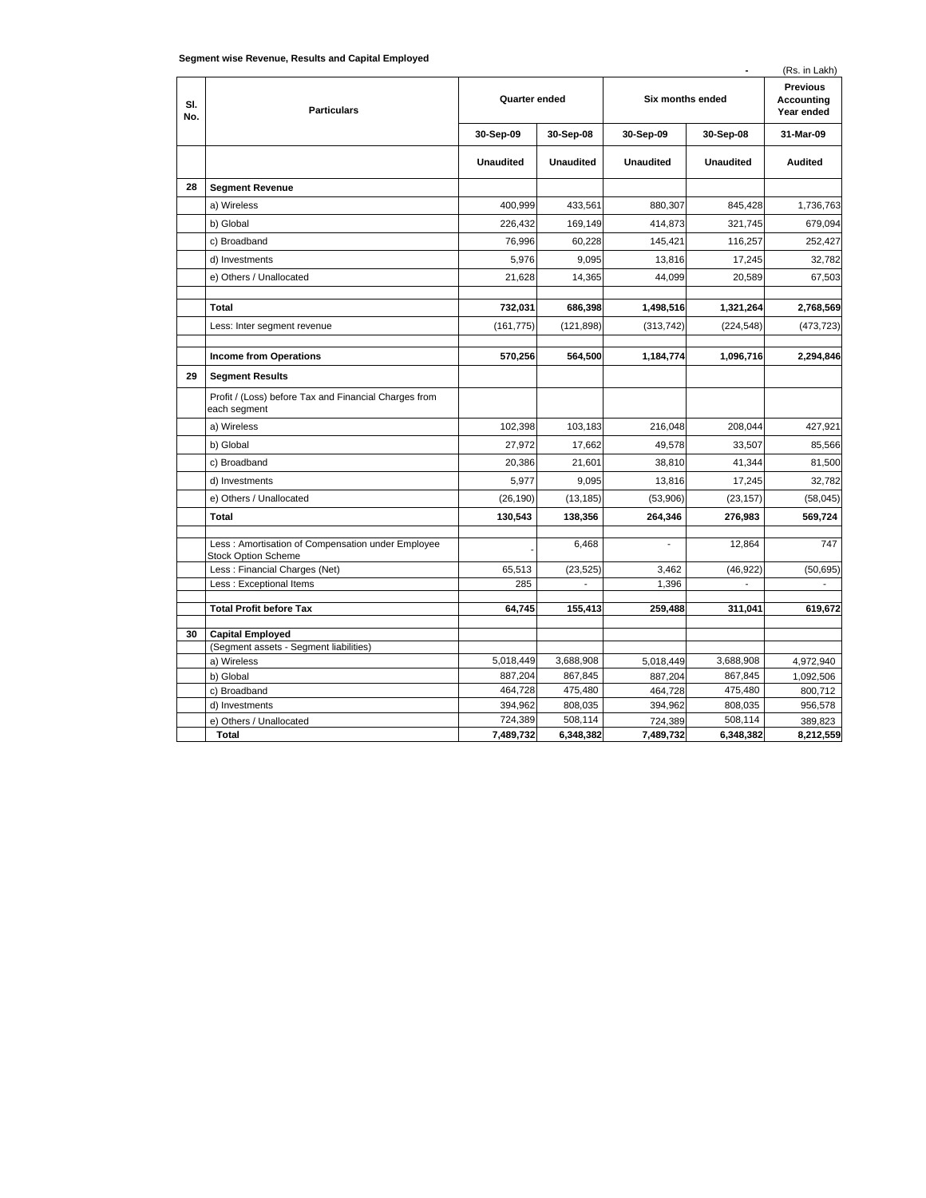|  | Segment wise Revenue, Results and Capital Employed |
|--|----------------------------------------------------|

| Jeginent wise Revenue, Results and Capital Employed<br>(Rs. in Lakh) |                                                                                 |                  |                  |                  |                  |                                                    |  |  |
|----------------------------------------------------------------------|---------------------------------------------------------------------------------|------------------|------------------|------------------|------------------|----------------------------------------------------|--|--|
| SI.<br>No.                                                           | <b>Particulars</b>                                                              | Quarter ended    |                  | Six months ended |                  | <b>Previous</b><br><b>Accounting</b><br>Year ended |  |  |
|                                                                      |                                                                                 | 30-Sep-09        | 30-Sep-08        | 30-Sep-09        | 30-Sep-08        | 31-Mar-09                                          |  |  |
|                                                                      |                                                                                 | <b>Unaudited</b> | <b>Unaudited</b> | <b>Unaudited</b> | <b>Unaudited</b> | <b>Audited</b>                                     |  |  |
| 28                                                                   | <b>Segment Revenue</b>                                                          |                  |                  |                  |                  |                                                    |  |  |
|                                                                      | a) Wireless                                                                     | 400,999          | 433,561          | 880,307          | 845,428          | 1,736,763                                          |  |  |
|                                                                      | b) Global                                                                       | 226,432          | 169,149          | 414,873          | 321,745          | 679,094                                            |  |  |
|                                                                      | c) Broadband                                                                    | 76,996           | 60,228           | 145,421          | 116,257          | 252,427                                            |  |  |
|                                                                      | d) Investments                                                                  | 5,976            | 9.095            | 13.816           | 17,245           | 32,782                                             |  |  |
|                                                                      | e) Others / Unallocated                                                         | 21,628           | 14,365           | 44,099           | 20,589           | 67,503                                             |  |  |
|                                                                      |                                                                                 |                  |                  |                  |                  |                                                    |  |  |
|                                                                      | <b>Total</b>                                                                    | 732,031          | 686,398          | 1,498,516        | 1,321,264        | 2,768,569                                          |  |  |
|                                                                      | Less: Inter segment revenue                                                     | (161, 775)       | (121, 898)       | (313, 742)       | (224, 548)       | (473, 723)                                         |  |  |
|                                                                      | <b>Income from Operations</b>                                                   | 570,256          | 564,500          | 1,184,774        | 1,096,716        | 2,294,846                                          |  |  |
| 29                                                                   | <b>Segment Results</b>                                                          |                  |                  |                  |                  |                                                    |  |  |
|                                                                      | Profit / (Loss) before Tax and Financial Charges from<br>each segment           |                  |                  |                  |                  |                                                    |  |  |
|                                                                      | a) Wireless                                                                     | 102,398          | 103,183          | 216,048          | 208,044          | 427,921                                            |  |  |
|                                                                      | b) Global                                                                       | 27,972           | 17,662           | 49,578           | 33,507           | 85,566                                             |  |  |
|                                                                      | c) Broadband                                                                    | 20,386           | 21,601           | 38,810           | 41,344           | 81,500                                             |  |  |
|                                                                      | d) Investments                                                                  | 5,977            | 9,095            | 13,816           | 17,245           | 32,782                                             |  |  |
|                                                                      | e) Others / Unallocated                                                         | (26, 190)        | (13, 185)        | (53,906)         | (23, 157)        | (58, 045)                                          |  |  |
|                                                                      | <b>Total</b>                                                                    | 130,543          | 138,356          | 264,346          | 276,983          | 569,724                                            |  |  |
|                                                                      |                                                                                 |                  |                  |                  |                  |                                                    |  |  |
|                                                                      | Less: Amortisation of Compensation under Employee<br><b>Stock Option Scheme</b> |                  | 6,468            |                  | 12,864           | 747                                                |  |  |
|                                                                      | Less: Financial Charges (Net)                                                   | 65,513           | (23, 525)        | 3,462            | (46, 922)        | (50, 695)                                          |  |  |
|                                                                      | Less : Exceptional Items                                                        | 285              |                  | 1,396            |                  |                                                    |  |  |
|                                                                      | <b>Total Profit before Tax</b>                                                  | 64,745           | 155,413          | 259,488          | 311,041          | 619,672                                            |  |  |
|                                                                      |                                                                                 |                  |                  |                  |                  |                                                    |  |  |
| 30                                                                   | <b>Capital Employed</b><br>(Segment assets - Segment liabilities)               |                  |                  |                  |                  |                                                    |  |  |
|                                                                      | a) Wireless                                                                     | 5,018,449        | 3,688,908        | 5,018,449        | 3,688,908        | 4,972,940                                          |  |  |
|                                                                      | b) Global                                                                       | 887,204          | 867,845          | 887,204          | 867,845          | 1,092,506                                          |  |  |
|                                                                      | c) Broadband                                                                    | 464,728          | 475,480          | 464,728          | 475,480          | 800,712                                            |  |  |
|                                                                      | d) Investments                                                                  | 394,962          | 808,035          | 394,962          | 808,035          | 956,578                                            |  |  |
|                                                                      | e) Others / Unallocated                                                         | 724,389          | 508,114          | 724,389          | 508,114          | 389,823                                            |  |  |
|                                                                      | Total                                                                           | 7,489,732        | 6,348,382        | 7,489,732        | 6,348,382        | 8,212,559                                          |  |  |